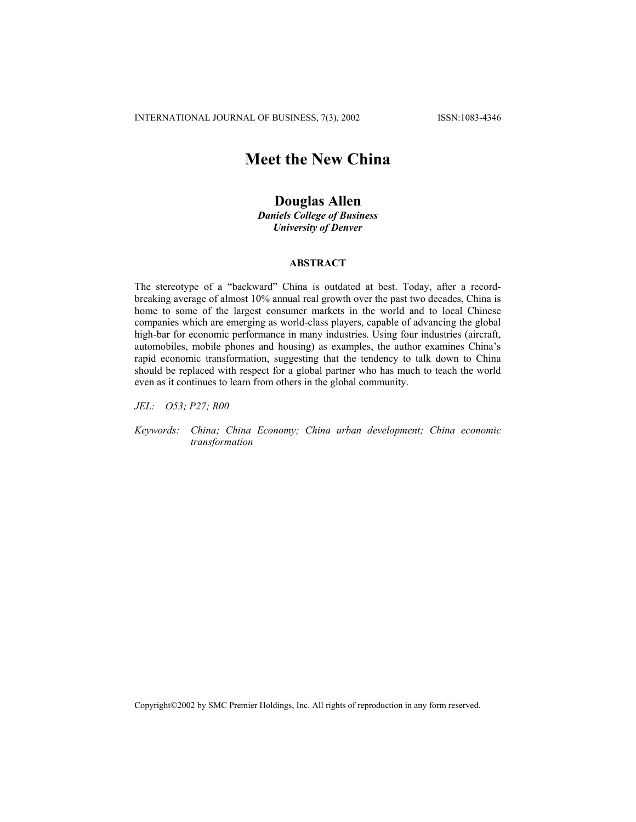# **Meet the New China**

# **Douglas Allen**

*Daniels College of Business University of Denver*

# **ABSTRACT**

The stereotype of a "backward" China is outdated at best. Today, after a recordbreaking average of almost 10% annual real growth over the past two decades, China is home to some of the largest consumer markets in the world and to local Chinese companies which are emerging as world-class players, capable of advancing the global high-bar for economic performance in many industries. Using four industries (aircraft, automobiles, mobile phones and housing) as examples, the author examines China's rapid economic transformation, suggesting that the tendency to talk down to China should be replaced with respect for a global partner who has much to teach the world even as it continues to learn from others in the global community.

*JEL: O53; P27; R00* 

*Keywords: China; China Economy; China urban development; China economic transformation*

Copyright2002 by SMC Premier Holdings, Inc. All rights of reproduction in any form reserved.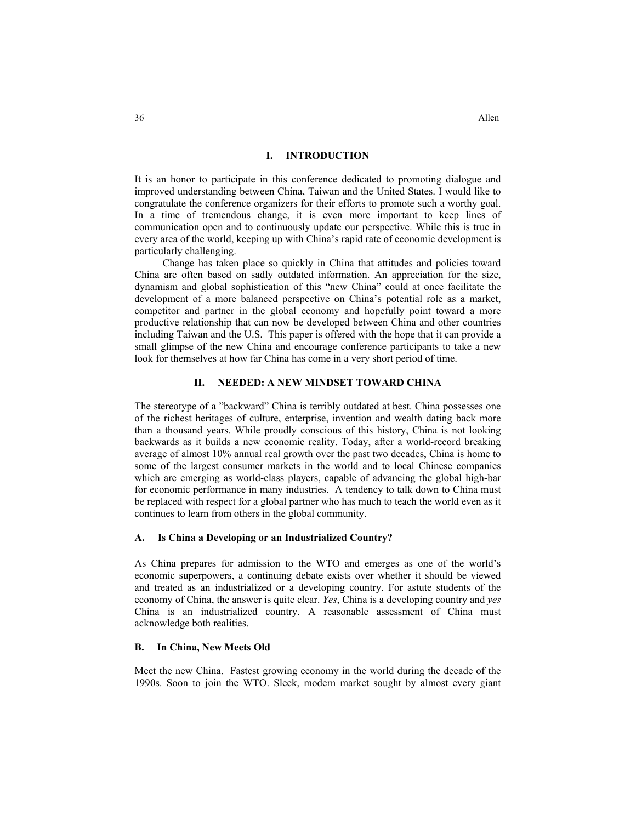## **I. INTRODUCTION**

It is an honor to participate in this conference dedicated to promoting dialogue and improved understanding between China, Taiwan and the United States. I would like to congratulate the conference organizers for their efforts to promote such a worthy goal. In a time of tremendous change, it is even more important to keep lines of communication open and to continuously update our perspective. While this is true in every area of the world, keeping up with China's rapid rate of economic development is particularly challenging.

Change has taken place so quickly in China that attitudes and policies toward China are often based on sadly outdated information. An appreciation for the size, dynamism and global sophistication of this "new China" could at once facilitate the development of a more balanced perspective on China's potential role as a market, competitor and partner in the global economy and hopefully point toward a more productive relationship that can now be developed between China and other countries including Taiwan and the U.S. This paper is offered with the hope that it can provide a small glimpse of the new China and encourage conference participants to take a new look for themselves at how far China has come in a very short period of time.

# **II. NEEDED: A NEW MINDSET TOWARD CHINA**

The stereotype of a "backward" China is terribly outdated at best. China possesses one of the richest heritages of culture, enterprise, invention and wealth dating back more than a thousand years. While proudly conscious of this history, China is not looking backwards as it builds a new economic reality. Today, after a world-record breaking average of almost 10% annual real growth over the past two decades, China is home to some of the largest consumer markets in the world and to local Chinese companies which are emerging as world-class players, capable of advancing the global high-bar for economic performance in many industries. A tendency to talk down to China must be replaced with respect for a global partner who has much to teach the world even as it continues to learn from others in the global community.

#### **A. Is China a Developing or an Industrialized Country?**

As China prepares for admission to the WTO and emerges as one of the world's economic superpowers, a continuing debate exists over whether it should be viewed and treated as an industrialized or a developing country. For astute students of the economy of China, the answer is quite clear. *Yes*, China is a developing country and *yes* China is an industrialized country. A reasonable assessment of China must acknowledge both realities.

## **B. In China, New Meets Old**

Meet the new China. Fastest growing economy in the world during the decade of the 1990s. Soon to join the WTO. Sleek, modern market sought by almost every giant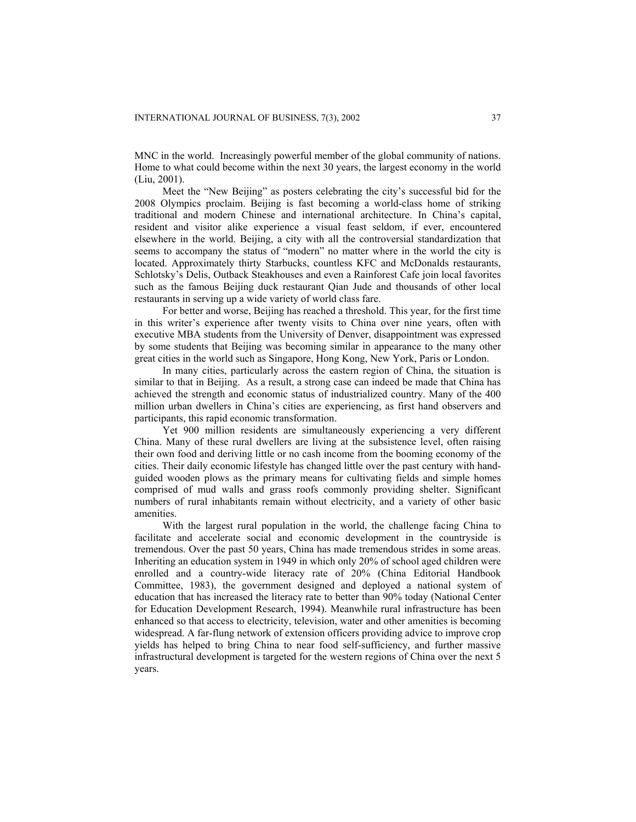MNC in the world. Increasingly powerful member of the global community of nations. Home to what could become within the next 30 years, the largest economy in the world (Liu, 2001).

Meet the "New Beijing" as posters celebrating the city's successful bid for the 2008 Olympics proclaim. Beijing is fast becoming a world-class home of striking traditional and modern Chinese and international architecture. In China's capital, resident and visitor alike experience a visual feast seldom, if ever, encountered elsewhere in the world. Beijing, a city with all the controversial standardization that seems to accompany the status of "modern" no matter where in the world the city is located. Approximately thirty Starbucks, countless KFC and McDonalds restaurants, Schlotsky's Delis, Outback Steakhouses and even a Rainforest Cafe join local favorites such as the famous Beijing duck restaurant Qian Jude and thousands of other local restaurants in serving up a wide variety of world class fare.

For better and worse, Beijing has reached a threshold. This year, for the first time in this writer's experience after twenty visits to China over nine years, often with executive MBA students from the University of Denver, disappointment was expressed by some students that Beijing was becoming similar in appearance to the many other great cities in the world such as Singapore, Hong Kong, New York, Paris or London.

In many cities, particularly across the eastern region of China, the situation is similar to that in Beijing. As a result, a strong case can indeed be made that China has achieved the strength and economic status of industrialized country. Many of the 400 million urban dwellers in China's cities are experiencing, as first hand observers and participants, this rapid economic transformation.

Yet 900 million residents are simultaneously experiencing a very different China. Many of these rural dwellers are living at the subsistence level, often raising their own food and deriving little or no cash income from the booming economy of the cities. Their daily economic lifestyle has changed little over the past century with handguided wooden plows as the primary means for cultivating fields and simple homes comprised of mud walls and grass roofs commonly providing shelter. Significant numbers of rural inhabitants remain without electricity, and a variety of other basic amenities.

With the largest rural population in the world, the challenge facing China to facilitate and accelerate social and economic development in the countryside is tremendous. Over the past 50 years, China has made tremendous strides in some areas. Inheriting an education system in 1949 in which only 20% of school aged children were enrolled and a country-wide literacy rate of 20% (China Editorial Handbook Committee, 1983), the government designed and deployed a national system of education that has increased the literacy rate to better than 90% today (National Center for Education Development Research, 1994). Meanwhile rural infrastructure has been enhanced so that access to electricity, television, water and other amenities is becoming widespread. A far-flung network of extension officers providing advice to improve crop yields has helped to bring China to near food self-sufficiency, and further massive infrastructural development is targeted for the western regions of China over the next 5 years.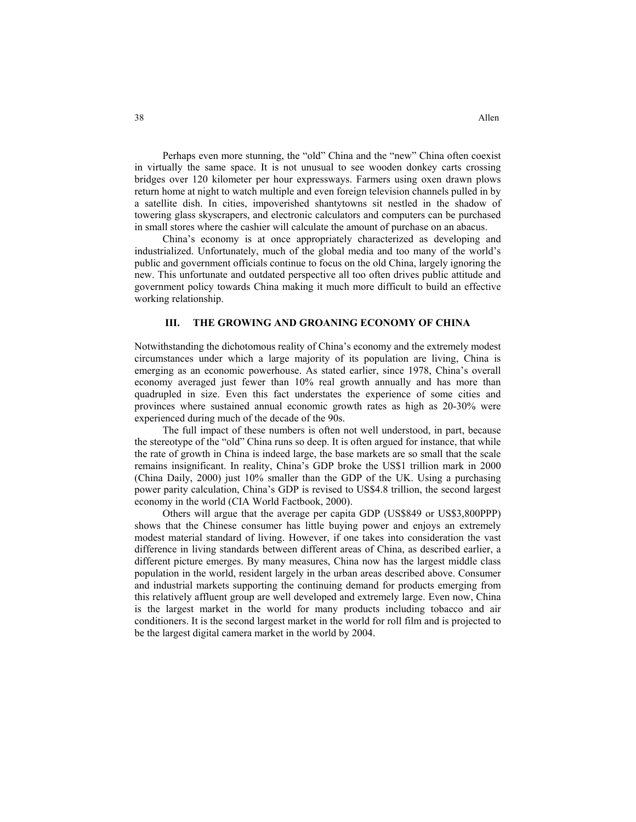Perhaps even more stunning, the "old" China and the "new" China often coexist in virtually the same space. It is not unusual to see wooden donkey carts crossing bridges over 120 kilometer per hour expressways. Farmers using oxen drawn plows return home at night to watch multiple and even foreign television channels pulled in by a satellite dish. In cities, impoverished shantytowns sit nestled in the shadow of towering glass skyscrapers, and electronic calculators and computers can be purchased in small stores where the cashier will calculate the amount of purchase on an abacus.

China's economy is at once appropriately characterized as developing and industrialized. Unfortunately, much of the global media and too many of the world's public and government officials continue to focus on the old China, largely ignoring the new. This unfortunate and outdated perspective all too often drives public attitude and government policy towards China making it much more difficult to build an effective working relationship.

#### **III. THE GROWING AND GROANING ECONOMY OF CHINA**

Notwithstanding the dichotomous reality of China's economy and the extremely modest circumstances under which a large majority of its population are living, China is emerging as an economic powerhouse. As stated earlier, since 1978, China's overall economy averaged just fewer than 10% real growth annually and has more than quadrupled in size. Even this fact understates the experience of some cities and provinces where sustained annual economic growth rates as high as 20-30% were experienced during much of the decade of the 90s.

The full impact of these numbers is often not well understood, in part, because the stereotype of the "old" China runs so deep. It is often argued for instance, that while the rate of growth in China is indeed large, the base markets are so small that the scale remains insignificant. In reality, China's GDP broke the US\$1 trillion mark in 2000 (China Daily, 2000) just 10% smaller than the GDP of the UK. Using a purchasing power parity calculation, China's GDP is revised to US\$4.8 trillion, the second largest economy in the world (CIA World Factbook, 2000).

Others will argue that the average per capita GDP (US\$849 or US\$3,800PPP) shows that the Chinese consumer has little buying power and enjoys an extremely modest material standard of living. However, if one takes into consideration the vast difference in living standards between different areas of China, as described earlier, a different picture emerges. By many measures, China now has the largest middle class population in the world, resident largely in the urban areas described above. Consumer and industrial markets supporting the continuing demand for products emerging from this relatively affluent group are well developed and extremely large. Even now, China is the largest market in the world for many products including tobacco and air conditioners. It is the second largest market in the world for roll film and is projected to be the largest digital camera market in the world by 2004.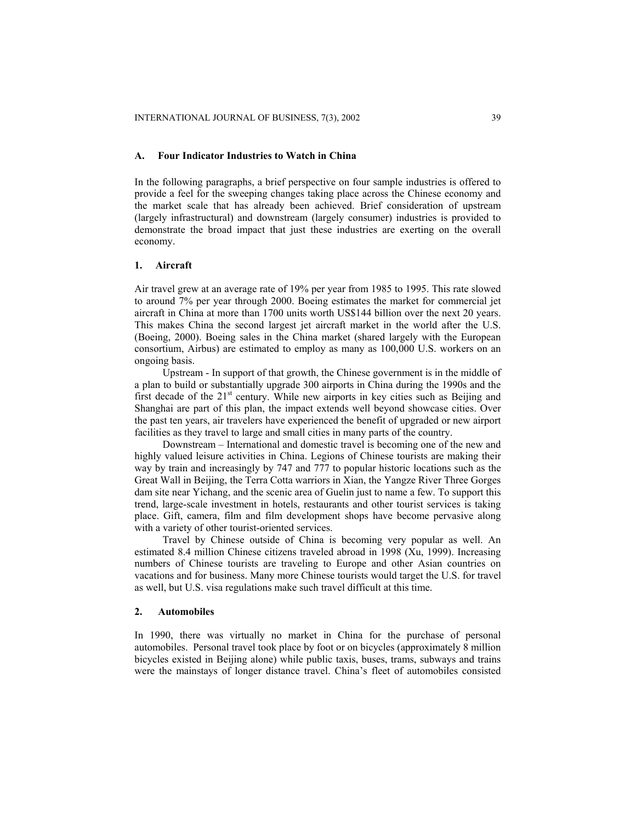#### **A. Four Indicator Industries to Watch in China**

In the following paragraphs, a brief perspective on four sample industries is offered to provide a feel for the sweeping changes taking place across the Chinese economy and the market scale that has already been achieved. Brief consideration of upstream (largely infrastructural) and downstream (largely consumer) industries is provided to demonstrate the broad impact that just these industries are exerting on the overall economy.

## **1. Aircraft**

Air travel grew at an average rate of 19% per year from 1985 to 1995. This rate slowed to around 7% per year through 2000. Boeing estimates the market for commercial jet aircraft in China at more than 1700 units worth US\$144 billion over the next 20 years. This makes China the second largest jet aircraft market in the world after the U.S. (Boeing, 2000). Boeing sales in the China market (shared largely with the European consortium, Airbus) are estimated to employ as many as 100,000 U.S. workers on an ongoing basis.

Upstream - In support of that growth, the Chinese government is in the middle of a plan to build or substantially upgrade 300 airports in China during the 1990s and the first decade of the  $21<sup>st</sup>$  century. While new airports in key cities such as Beijing and Shanghai are part of this plan, the impact extends well beyond showcase cities. Over the past ten years, air travelers have experienced the benefit of upgraded or new airport facilities as they travel to large and small cities in many parts of the country.

Downstream – International and domestic travel is becoming one of the new and highly valued leisure activities in China. Legions of Chinese tourists are making their way by train and increasingly by 747 and 777 to popular historic locations such as the Great Wall in Beijing, the Terra Cotta warriors in Xian, the Yangze River Three Gorges dam site near Yichang, and the scenic area of Guelin just to name a few. To support this trend, large-scale investment in hotels, restaurants and other tourist services is taking place. Gift, camera, film and film development shops have become pervasive along with a variety of other tourist-oriented services.

Travel by Chinese outside of China is becoming very popular as well. An estimated 8.4 million Chinese citizens traveled abroad in 1998 (Xu, 1999). Increasing numbers of Chinese tourists are traveling to Europe and other Asian countries on vacations and for business. Many more Chinese tourists would target the U.S. for travel as well, but U.S. visa regulations make such travel difficult at this time.

#### **2. Automobiles**

In 1990, there was virtually no market in China for the purchase of personal automobiles. Personal travel took place by foot or on bicycles (approximately 8 million bicycles existed in Beijing alone) while public taxis, buses, trams, subways and trains were the mainstays of longer distance travel. China's fleet of automobiles consisted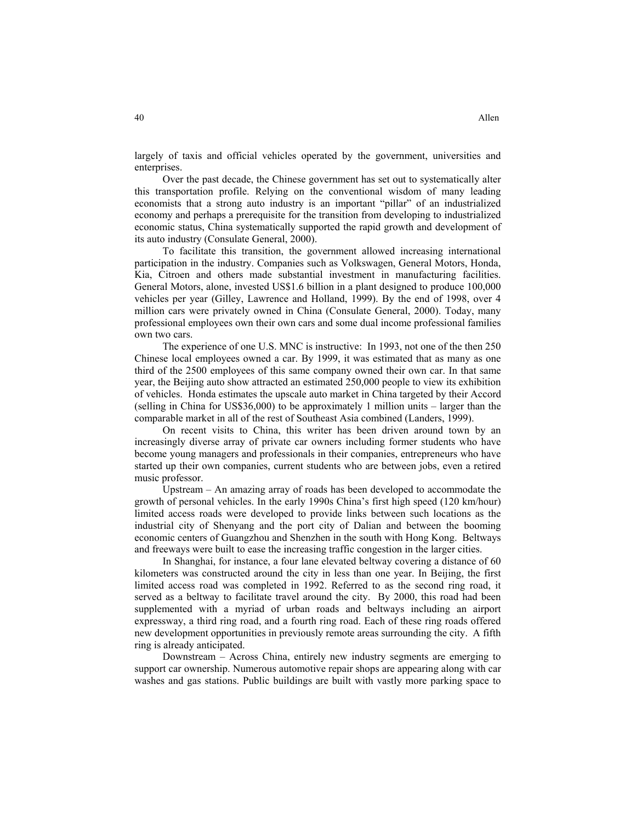largely of taxis and official vehicles operated by the government, universities and enterprises.

Over the past decade, the Chinese government has set out to systematically alter this transportation profile. Relying on the conventional wisdom of many leading economists that a strong auto industry is an important "pillar" of an industrialized economy and perhaps a prerequisite for the transition from developing to industrialized economic status, China systematically supported the rapid growth and development of its auto industry (Consulate General, 2000).

To facilitate this transition, the government allowed increasing international participation in the industry. Companies such as Volkswagen, General Motors, Honda, Kia, Citroen and others made substantial investment in manufacturing facilities. General Motors, alone, invested US\$1.6 billion in a plant designed to produce 100,000 vehicles per year (Gilley, Lawrence and Holland, 1999). By the end of 1998, over 4 million cars were privately owned in China (Consulate General, 2000). Today, many professional employees own their own cars and some dual income professional families own two cars.

The experience of one U.S. MNC is instructive: In 1993, not one of the then 250 Chinese local employees owned a car. By 1999, it was estimated that as many as one third of the 2500 employees of this same company owned their own car. In that same year, the Beijing auto show attracted an estimated 250,000 people to view its exhibition of vehicles. Honda estimates the upscale auto market in China targeted by their Accord (selling in China for US\$36,000) to be approximately 1 million units – larger than the comparable market in all of the rest of Southeast Asia combined (Landers, 1999).

On recent visits to China, this writer has been driven around town by an increasingly diverse array of private car owners including former students who have become young managers and professionals in their companies, entrepreneurs who have started up their own companies, current students who are between jobs, even a retired music professor.

Upstream – An amazing array of roads has been developed to accommodate the growth of personal vehicles. In the early 1990s China's first high speed (120 km/hour) limited access roads were developed to provide links between such locations as the industrial city of Shenyang and the port city of Dalian and between the booming economic centers of Guangzhou and Shenzhen in the south with Hong Kong. Beltways and freeways were built to ease the increasing traffic congestion in the larger cities.

In Shanghai, for instance, a four lane elevated beltway covering a distance of 60 kilometers was constructed around the city in less than one year. In Beijing, the first limited access road was completed in 1992. Referred to as the second ring road, it served as a beltway to facilitate travel around the city. By 2000, this road had been supplemented with a myriad of urban roads and beltways including an airport expressway, a third ring road, and a fourth ring road. Each of these ring roads offered new development opportunities in previously remote areas surrounding the city. A fifth ring is already anticipated.

Downstream – Across China, entirely new industry segments are emerging to support car ownership. Numerous automotive repair shops are appearing along with car washes and gas stations. Public buildings are built with vastly more parking space to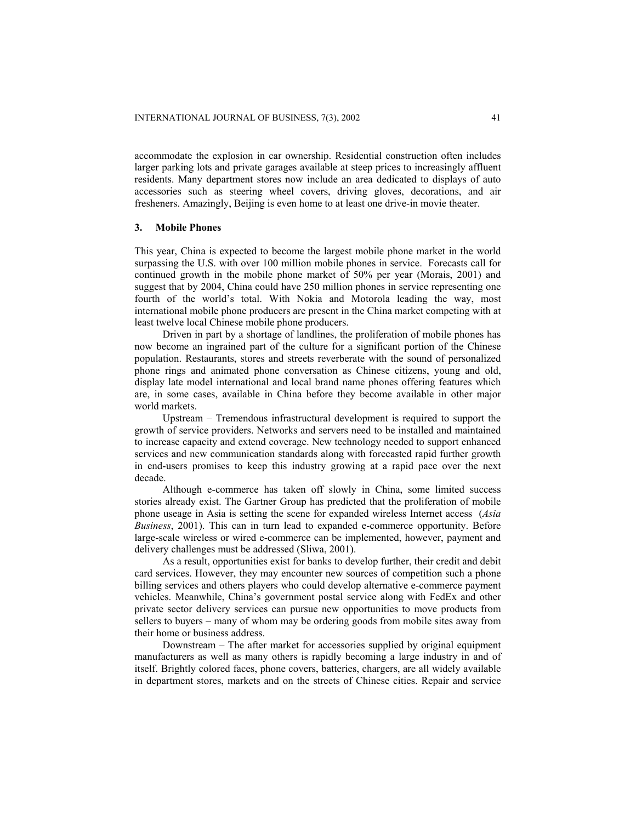accommodate the explosion in car ownership. Residential construction often includes larger parking lots and private garages available at steep prices to increasingly affluent residents. Many department stores now include an area dedicated to displays of auto accessories such as steering wheel covers, driving gloves, decorations, and air fresheners. Amazingly, Beijing is even home to at least one drive-in movie theater.

#### **3. Mobile Phones**

This year, China is expected to become the largest mobile phone market in the world surpassing the U.S. with over 100 million mobile phones in service. Forecasts call for continued growth in the mobile phone market of 50% per year (Morais, 2001) and suggest that by 2004, China could have 250 million phones in service representing one fourth of the world's total. With Nokia and Motorola leading the way, most international mobile phone producers are present in the China market competing with at least twelve local Chinese mobile phone producers.

Driven in part by a shortage of landlines, the proliferation of mobile phones has now become an ingrained part of the culture for a significant portion of the Chinese population. Restaurants, stores and streets reverberate with the sound of personalized phone rings and animated phone conversation as Chinese citizens, young and old, display late model international and local brand name phones offering features which are, in some cases, available in China before they become available in other major world markets.

Upstream – Tremendous infrastructural development is required to support the growth of service providers. Networks and servers need to be installed and maintained to increase capacity and extend coverage. New technology needed to support enhanced services and new communication standards along with forecasted rapid further growth in end-users promises to keep this industry growing at a rapid pace over the next decade.

Although e-commerce has taken off slowly in China, some limited success stories already exist. The Gartner Group has predicted that the proliferation of mobile phone useage in Asia is setting the scene for expanded wireless Internet access (*Asia Business*, 2001). This can in turn lead to expanded e-commerce opportunity. Before large-scale wireless or wired e-commerce can be implemented, however, payment and delivery challenges must be addressed (Sliwa, 2001).

As a result, opportunities exist for banks to develop further, their credit and debit card services. However, they may encounter new sources of competition such a phone billing services and others players who could develop alternative e-commerce payment vehicles. Meanwhile, China's government postal service along with FedEx and other private sector delivery services can pursue new opportunities to move products from sellers to buyers – many of whom may be ordering goods from mobile sites away from their home or business address.

Downstream – The after market for accessories supplied by original equipment manufacturers as well as many others is rapidly becoming a large industry in and of itself. Brightly colored faces, phone covers, batteries, chargers, are all widely available in department stores, markets and on the streets of Chinese cities. Repair and service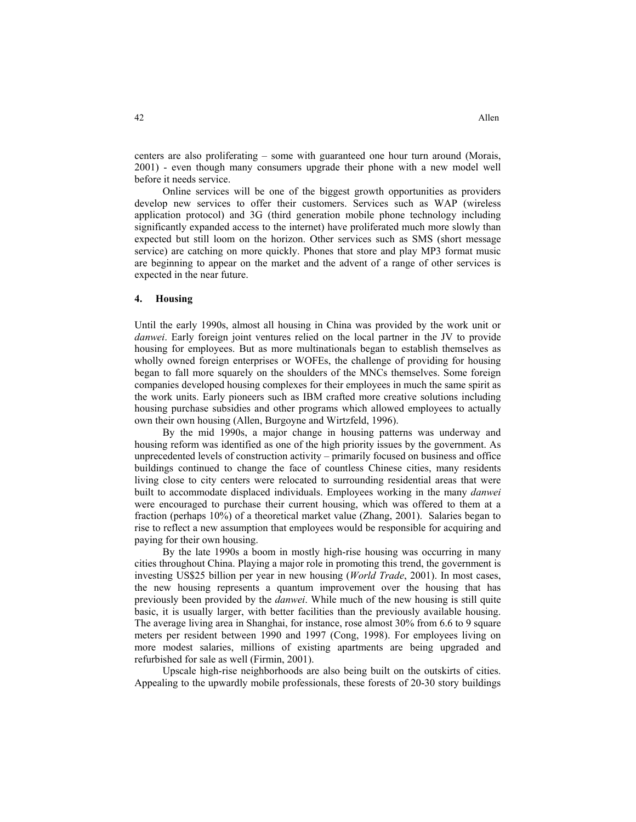centers are also proliferating – some with guaranteed one hour turn around (Morais, 2001) - even though many consumers upgrade their phone with a new model well before it needs service.

Online services will be one of the biggest growth opportunities as providers develop new services to offer their customers. Services such as WAP (wireless application protocol) and 3G (third generation mobile phone technology including significantly expanded access to the internet) have proliferated much more slowly than expected but still loom on the horizon. Other services such as SMS (short message service) are catching on more quickly. Phones that store and play MP3 format music are beginning to appear on the market and the advent of a range of other services is expected in the near future.

## **4. Housing**

Until the early 1990s, almost all housing in China was provided by the work unit or *danwei*. Early foreign joint ventures relied on the local partner in the JV to provide housing for employees. But as more multinationals began to establish themselves as wholly owned foreign enterprises or WOFEs, the challenge of providing for housing began to fall more squarely on the shoulders of the MNCs themselves. Some foreign companies developed housing complexes for their employees in much the same spirit as the work units. Early pioneers such as IBM crafted more creative solutions including housing purchase subsidies and other programs which allowed employees to actually own their own housing (Allen, Burgoyne and Wirtzfeld, 1996).

By the mid 1990s, a major change in housing patterns was underway and housing reform was identified as one of the high priority issues by the government. As unprecedented levels of construction activity – primarily focused on business and office buildings continued to change the face of countless Chinese cities, many residents living close to city centers were relocated to surrounding residential areas that were built to accommodate displaced individuals. Employees working in the many *danwei* were encouraged to purchase their current housing, which was offered to them at a fraction (perhaps 10%) of a theoretical market value (Zhang, 2001). Salaries began to rise to reflect a new assumption that employees would be responsible for acquiring and paying for their own housing.

By the late 1990s a boom in mostly high-rise housing was occurring in many cities throughout China. Playing a major role in promoting this trend, the government is investing US\$25 billion per year in new housing (*World Trade*, 2001). In most cases, the new housing represents a quantum improvement over the housing that has previously been provided by the *danwei*. While much of the new housing is still quite basic, it is usually larger, with better facilities than the previously available housing. The average living area in Shanghai, for instance, rose almost 30% from 6.6 to 9 square meters per resident between 1990 and 1997 (Cong, 1998). For employees living on more modest salaries, millions of existing apartments are being upgraded and refurbished for sale as well (Firmin, 2001).

Upscale high-rise neighborhoods are also being built on the outskirts of cities. Appealing to the upwardly mobile professionals, these forests of 20-30 story buildings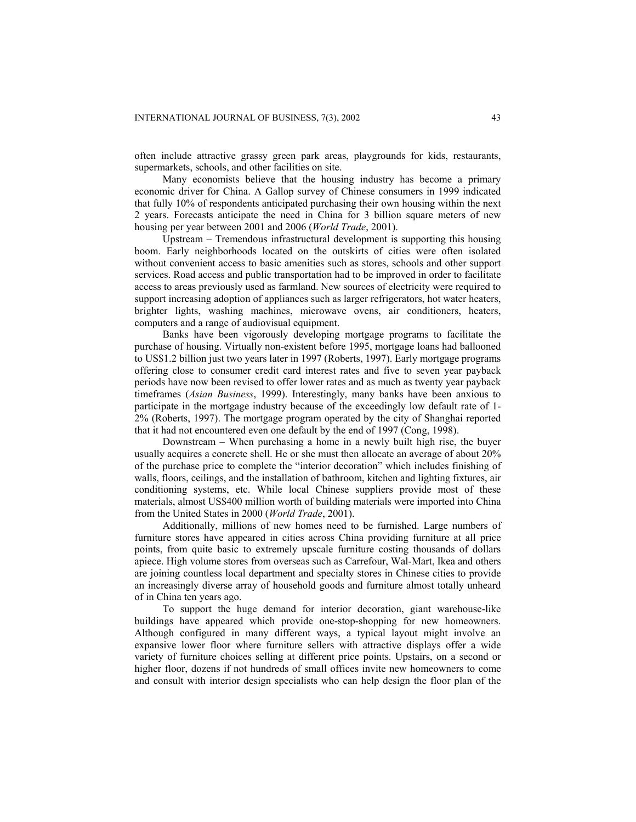often include attractive grassy green park areas, playgrounds for kids, restaurants, supermarkets, schools, and other facilities on site.

Many economists believe that the housing industry has become a primary economic driver for China. A Gallop survey of Chinese consumers in 1999 indicated that fully 10% of respondents anticipated purchasing their own housing within the next 2 years. Forecasts anticipate the need in China for 3 billion square meters of new housing per year between 2001 and 2006 (*World Trade*, 2001).

Upstream – Tremendous infrastructural development is supporting this housing boom. Early neighborhoods located on the outskirts of cities were often isolated without convenient access to basic amenities such as stores, schools and other support services. Road access and public transportation had to be improved in order to facilitate access to areas previously used as farmland. New sources of electricity were required to support increasing adoption of appliances such as larger refrigerators, hot water heaters, brighter lights, washing machines, microwave ovens, air conditioners, heaters, computers and a range of audiovisual equipment.

Banks have been vigorously developing mortgage programs to facilitate the purchase of housing. Virtually non-existent before 1995, mortgage loans had ballooned to US\$1.2 billion just two years later in 1997 (Roberts, 1997). Early mortgage programs offering close to consumer credit card interest rates and five to seven year payback periods have now been revised to offer lower rates and as much as twenty year payback timeframes (*Asian Business*, 1999). Interestingly, many banks have been anxious to participate in the mortgage industry because of the exceedingly low default rate of 1- 2% (Roberts, 1997). The mortgage program operated by the city of Shanghai reported that it had not encountered even one default by the end of 1997 (Cong, 1998).

Downstream – When purchasing a home in a newly built high rise, the buyer usually acquires a concrete shell. He or she must then allocate an average of about 20% of the purchase price to complete the "interior decoration" which includes finishing of walls, floors, ceilings, and the installation of bathroom, kitchen and lighting fixtures, air conditioning systems, etc. While local Chinese suppliers provide most of these materials, almost US\$400 million worth of building materials were imported into China from the United States in 2000 (*World Trade*, 2001).

Additionally, millions of new homes need to be furnished. Large numbers of furniture stores have appeared in cities across China providing furniture at all price points, from quite basic to extremely upscale furniture costing thousands of dollars apiece. High volume stores from overseas such as Carrefour, Wal-Mart, Ikea and others are joining countless local department and specialty stores in Chinese cities to provide an increasingly diverse array of household goods and furniture almost totally unheard of in China ten years ago.

To support the huge demand for interior decoration, giant warehouse-like buildings have appeared which provide one-stop-shopping for new homeowners. Although configured in many different ways, a typical layout might involve an expansive lower floor where furniture sellers with attractive displays offer a wide variety of furniture choices selling at different price points. Upstairs, on a second or higher floor, dozens if not hundreds of small offices invite new homeowners to come and consult with interior design specialists who can help design the floor plan of the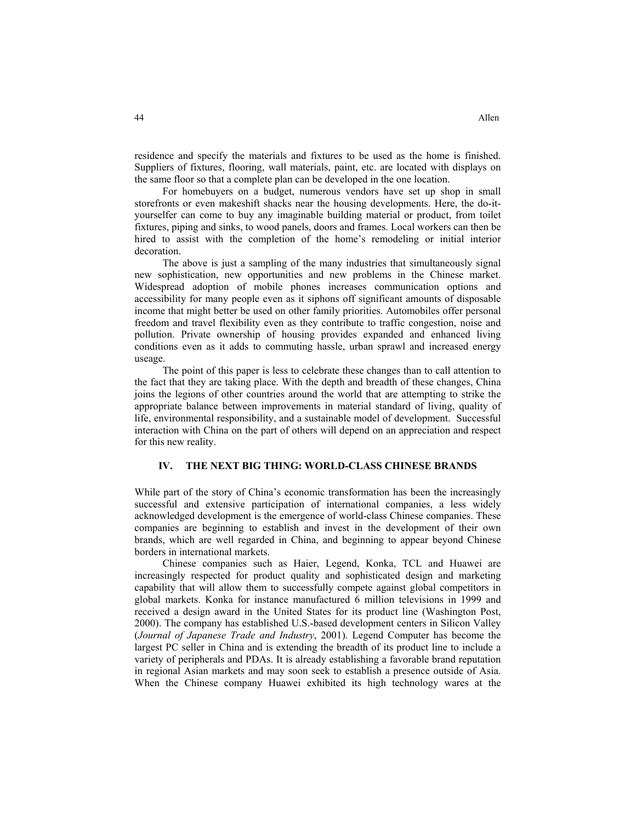residence and specify the materials and fixtures to be used as the home is finished. Suppliers of fixtures, flooring, wall materials, paint, etc. are located with displays on the same floor so that a complete plan can be developed in the one location.

For homebuyers on a budget, numerous vendors have set up shop in small storefronts or even makeshift shacks near the housing developments. Here, the do-ityourselfer can come to buy any imaginable building material or product, from toilet fixtures, piping and sinks, to wood panels, doors and frames. Local workers can then be hired to assist with the completion of the home's remodeling or initial interior decoration.

The above is just a sampling of the many industries that simultaneously signal new sophistication, new opportunities and new problems in the Chinese market. Widespread adoption of mobile phones increases communication options and accessibility for many people even as it siphons off significant amounts of disposable income that might better be used on other family priorities. Automobiles offer personal freedom and travel flexibility even as they contribute to traffic congestion, noise and pollution. Private ownership of housing provides expanded and enhanced living conditions even as it adds to commuting hassle, urban sprawl and increased energy useage.

The point of this paper is less to celebrate these changes than to call attention to the fact that they are taking place. With the depth and breadth of these changes, China joins the legions of other countries around the world that are attempting to strike the appropriate balance between improvements in material standard of living, quality of life, environmental responsibility, and a sustainable model of development. Successful interaction with China on the part of others will depend on an appreciation and respect for this new reality.

## **IV. THE NEXT BIG THING: WORLD-CLASS CHINESE BRANDS**

While part of the story of China's economic transformation has been the increasingly successful and extensive participation of international companies, a less widely acknowledged development is the emergence of world-class Chinese companies. These companies are beginning to establish and invest in the development of their own brands, which are well regarded in China, and beginning to appear beyond Chinese borders in international markets.

Chinese companies such as Haier, Legend, Konka, TCL and Huawei are increasingly respected for product quality and sophisticated design and marketing capability that will allow them to successfully compete against global competitors in global markets. Konka for instance manufactured 6 million televisions in 1999 and received a design award in the United States for its product line (Washington Post, 2000). The company has established U.S.-based development centers in Silicon Valley (*Journal of Japanese Trade and Industry*, 2001). Legend Computer has become the largest PC seller in China and is extending the breadth of its product line to include a variety of peripherals and PDAs. It is already establishing a favorable brand reputation in regional Asian markets and may soon seek to establish a presence outside of Asia. When the Chinese company Huawei exhibited its high technology wares at the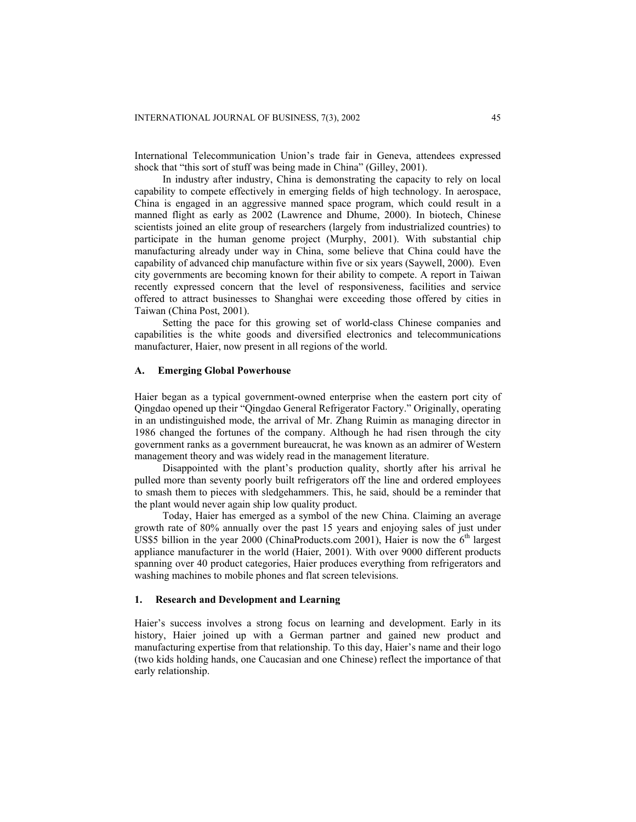International Telecommunication Union's trade fair in Geneva, attendees expressed shock that "this sort of stuff was being made in China" (Gilley, 2001).

In industry after industry, China is demonstrating the capacity to rely on local capability to compete effectively in emerging fields of high technology. In aerospace, China is engaged in an aggressive manned space program, which could result in a manned flight as early as 2002 (Lawrence and Dhume, 2000). In biotech, Chinese scientists joined an elite group of researchers (largely from industrialized countries) to participate in the human genome project (Murphy, 2001). With substantial chip manufacturing already under way in China, some believe that China could have the capability of advanced chip manufacture within five or six years (Saywell, 2000). Even city governments are becoming known for their ability to compete. A report in Taiwan recently expressed concern that the level of responsiveness, facilities and service offered to attract businesses to Shanghai were exceeding those offered by cities in Taiwan (China Post, 2001).

Setting the pace for this growing set of world-class Chinese companies and capabilities is the white goods and diversified electronics and telecommunications manufacturer, Haier, now present in all regions of the world.

# **A. Emerging Global Powerhouse**

Haier began as a typical government-owned enterprise when the eastern port city of Qingdao opened up their "Qingdao General Refrigerator Factory." Originally, operating in an undistinguished mode, the arrival of Mr. Zhang Ruimin as managing director in 1986 changed the fortunes of the company. Although he had risen through the city government ranks as a government bureaucrat, he was known as an admirer of Western management theory and was widely read in the management literature.

Disappointed with the plant's production quality, shortly after his arrival he pulled more than seventy poorly built refrigerators off the line and ordered employees to smash them to pieces with sledgehammers. This, he said, should be a reminder that the plant would never again ship low quality product.

Today, Haier has emerged as a symbol of the new China. Claiming an average growth rate of 80% annually over the past 15 years and enjoying sales of just under US\$5 billion in the year 2000 (ChinaProducts.com 2001), Haier is now the  $6<sup>th</sup>$  largest appliance manufacturer in the world (Haier, 2001). With over 9000 different products spanning over 40 product categories, Haier produces everything from refrigerators and washing machines to mobile phones and flat screen televisions.

#### **1. Research and Development and Learning**

Haier's success involves a strong focus on learning and development. Early in its history, Haier joined up with a German partner and gained new product and manufacturing expertise from that relationship. To this day, Haier's name and their logo (two kids holding hands, one Caucasian and one Chinese) reflect the importance of that early relationship.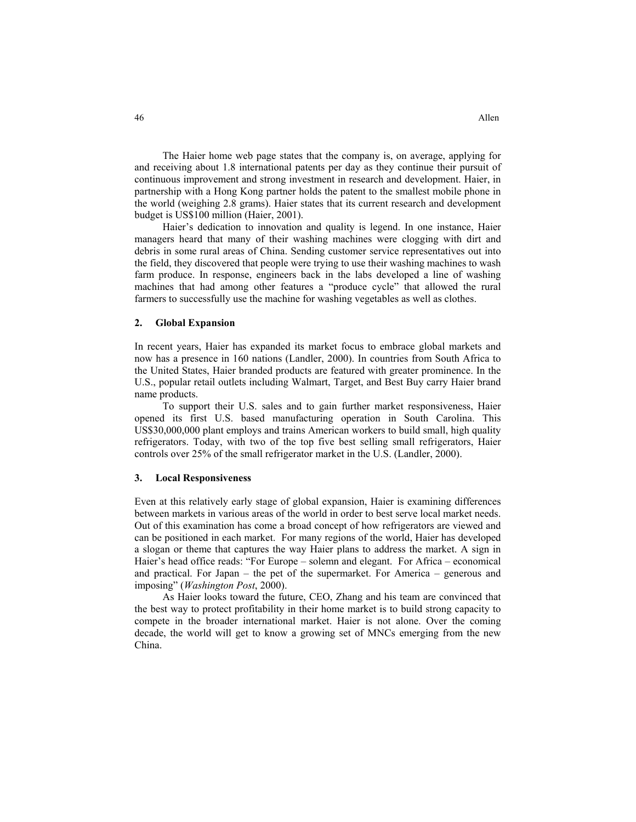The Haier home web page states that the company is, on average, applying for and receiving about 1.8 international patents per day as they continue their pursuit of continuous improvement and strong investment in research and development. Haier, in partnership with a Hong Kong partner holds the patent to the smallest mobile phone in the world (weighing 2.8 grams). Haier states that its current research and development budget is US\$100 million (Haier, 2001).

Haier's dedication to innovation and quality is legend. In one instance, Haier managers heard that many of their washing machines were clogging with dirt and debris in some rural areas of China. Sending customer service representatives out into the field, they discovered that people were trying to use their washing machines to wash farm produce. In response, engineers back in the labs developed a line of washing machines that had among other features a "produce cycle" that allowed the rural farmers to successfully use the machine for washing vegetables as well as clothes.

#### **2. Global Expansion**

In recent years, Haier has expanded its market focus to embrace global markets and now has a presence in 160 nations (Landler, 2000). In countries from South Africa to the United States, Haier branded products are featured with greater prominence. In the U.S., popular retail outlets including Walmart, Target, and Best Buy carry Haier brand name products.

To support their U.S. sales and to gain further market responsiveness, Haier opened its first U.S. based manufacturing operation in South Carolina. This US\$30,000,000 plant employs and trains American workers to build small, high quality refrigerators. Today, with two of the top five best selling small refrigerators, Haier controls over 25% of the small refrigerator market in the U.S. (Landler, 2000).

#### **3. Local Responsiveness**

Even at this relatively early stage of global expansion, Haier is examining differences between markets in various areas of the world in order to best serve local market needs. Out of this examination has come a broad concept of how refrigerators are viewed and can be positioned in each market. For many regions of the world, Haier has developed a slogan or theme that captures the way Haier plans to address the market. A sign in Haier's head office reads: "For Europe – solemn and elegant. For Africa – economical and practical. For Japan – the pet of the supermarket. For America – generous and imposing" (*Washington Post*, 2000).

As Haier looks toward the future, CEO, Zhang and his team are convinced that the best way to protect profitability in their home market is to build strong capacity to compete in the broader international market. Haier is not alone. Over the coming decade, the world will get to know a growing set of MNCs emerging from the new China.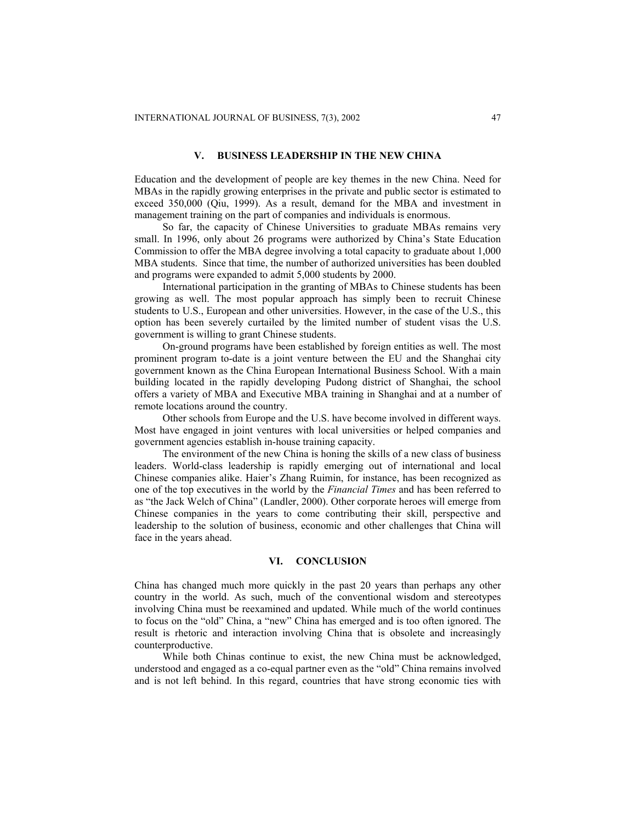# **V. BUSINESS LEADERSHIP IN THE NEW CHINA**

Education and the development of people are key themes in the new China. Need for MBAs in the rapidly growing enterprises in the private and public sector is estimated to exceed 350,000 (Qiu, 1999). As a result, demand for the MBA and investment in management training on the part of companies and individuals is enormous.

So far, the capacity of Chinese Universities to graduate MBAs remains very small. In 1996, only about 26 programs were authorized by China's State Education Commission to offer the MBA degree involving a total capacity to graduate about 1,000 MBA students. Since that time, the number of authorized universities has been doubled and programs were expanded to admit 5,000 students by 2000.

International participation in the granting of MBAs to Chinese students has been growing as well. The most popular approach has simply been to recruit Chinese students to U.S., European and other universities. However, in the case of the U.S., this option has been severely curtailed by the limited number of student visas the U.S. government is willing to grant Chinese students.

On-ground programs have been established by foreign entities as well. The most prominent program to-date is a joint venture between the EU and the Shanghai city government known as the China European International Business School. With a main building located in the rapidly developing Pudong district of Shanghai, the school offers a variety of MBA and Executive MBA training in Shanghai and at a number of remote locations around the country.

Other schools from Europe and the U.S. have become involved in different ways. Most have engaged in joint ventures with local universities or helped companies and government agencies establish in-house training capacity.

The environment of the new China is honing the skills of a new class of business leaders. World-class leadership is rapidly emerging out of international and local Chinese companies alike. Haier's Zhang Ruimin, for instance, has been recognized as one of the top executives in the world by the *Financial Times* and has been referred to as "the Jack Welch of China" (Landler, 2000). Other corporate heroes will emerge from Chinese companies in the years to come contributing their skill, perspective and leadership to the solution of business, economic and other challenges that China will face in the years ahead.

#### **VI. CONCLUSION**

China has changed much more quickly in the past 20 years than perhaps any other country in the world. As such, much of the conventional wisdom and stereotypes involving China must be reexamined and updated. While much of the world continues to focus on the "old" China, a "new" China has emerged and is too often ignored. The result is rhetoric and interaction involving China that is obsolete and increasingly counterproductive.

While both Chinas continue to exist, the new China must be acknowledged, understood and engaged as a co-equal partner even as the "old" China remains involved and is not left behind. In this regard, countries that have strong economic ties with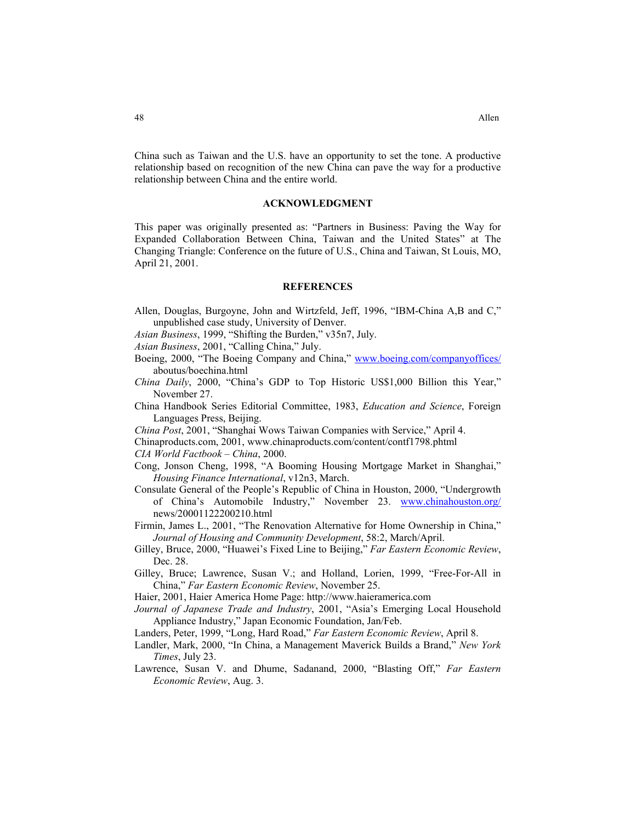China such as Taiwan and the U.S. have an opportunity to set the tone. A productive relationship based on recognition of the new China can pave the way for a productive relationship between China and the entire world.

#### **ACKNOWLEDGMENT**

This paper was originally presented as: "Partners in Business: Paving the Way for Expanded Collaboration Between China, Taiwan and the United States" at The Changing Triangle: Conference on the future of U.S., China and Taiwan, St Louis, MO, April 21, 2001.

#### **REFERENCES**

- Allen, Douglas, Burgoyne, John and Wirtzfeld, Jeff, 1996, "IBM-China A,B and C," unpublished case study, University of Denver.
- *Asian Business*, 1999, "Shifting the Burden," v35n7, July.
- *Asian Business*, 2001, "Calling China," July.
- Boeing, 2000, "The Boeing Company and China," [www.boeing.com/companyoffices/](http://www.boeing.com/companyoffices/) aboutus/boechina.html
- *China Daily*, 2000, "China's GDP to Top Historic US\$1,000 Billion this Year," November 27.
- China Handbook Series Editorial Committee, 1983, *Education and Science*, Foreign Languages Press, Beijing.

*China Post*, 2001, "Shanghai Wows Taiwan Companies with Service," April 4.

- Chinaproducts.com, 2001, www.chinaproducts.com/content/contf1798.phtml
- *CIA World Factbook China*, 2000.
- Cong, Jonson Cheng, 1998, "A Booming Housing Mortgage Market in Shanghai," *Housing Finance International*, v12n3, March.
- Consulate General of the People's Republic of China in Houston, 2000, "Undergrowth of China's Automobile Industry," November 23. [www.chinahouston.org/](http://www.chinahouston.org/) news/20001122200210.html
- Firmin, James L., 2001, "The Renovation Alternative for Home Ownership in China," *Journal of Housing and Community Development*, 58:2, March/April.
- Gilley, Bruce, 2000, "Huawei's Fixed Line to Beijing," *Far Eastern Economic Review*, Dec. 28.
- Gilley, Bruce; Lawrence, Susan V.; and Holland, Lorien, 1999, "Free-For-All in China," *Far Eastern Economic Review*, November 25.
- Haier, 2001, Haier America Home Page: http://www.haieramerica.com
- *Journal of Japanese Trade and Industry*, 2001, "Asia's Emerging Local Household Appliance Industry," Japan Economic Foundation, Jan/Feb.
- Landers, Peter, 1999, "Long, Hard Road," *Far Eastern Economic Review*, April 8.
- Landler, Mark, 2000, "In China, a Management Maverick Builds a Brand," *New York Times*, July 23.
- Lawrence, Susan V. and Dhume, Sadanand, 2000, "Blasting Off," *Far Eastern Economic Review*, Aug. 3.